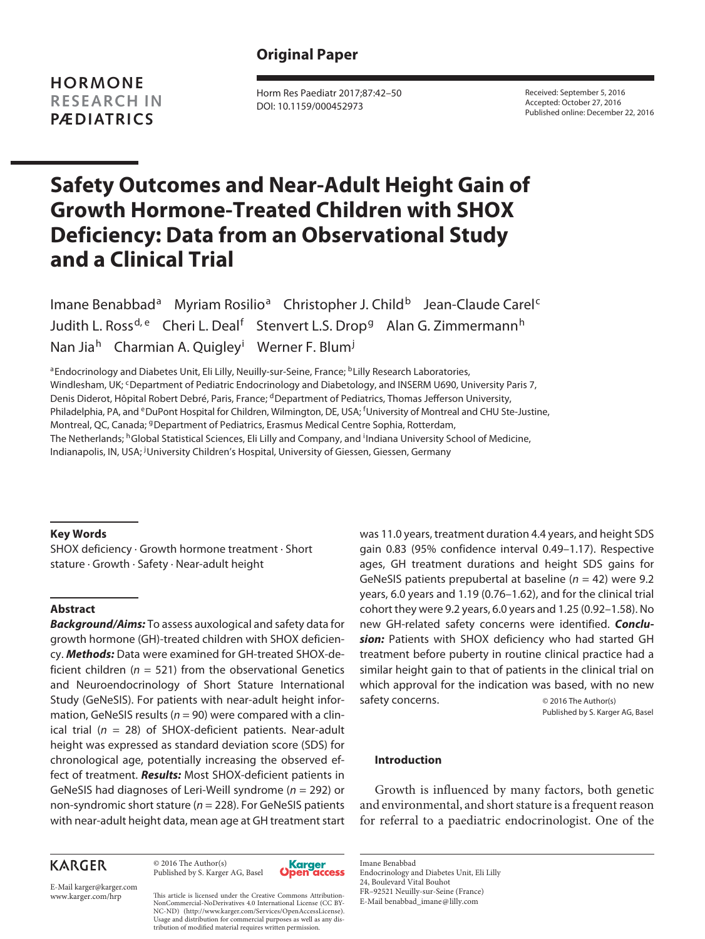**HORMONE RESEARCH IN PÆDIATRICS**

 Horm Res Paediatr 2017;87:42–50 DOI: 10.1159/000452973

 Received: September 5, 2016 Accepted: October 27, 2016 Published online: December 22, 2016

# **Safety Outcomes and Near-Adult Height Gain of Growth Hormone-Treated Children with SHOX Deficiency: Data from an Observational Study and a Clinical Trial**

Imane Benabbad<sup>a</sup> Myriam Rosilio<sup>a</sup> Christopher J. Child<sup>b</sup> Jean-Claude Carel<sup>c</sup> Judith L. Ross<sup>d, e</sup> Cheri L. Deal<sup>f</sup> Stenvert L.S. Drop<sup>g</sup> Alan G. Zimmermann<sup>h</sup> Nan Jia<sup>h</sup> Charmian A. Quigley<sup>i</sup> Werner F. Blum<sup>j</sup>

<sup>a</sup> Endocrinology and Diabetes Unit, Eli Lilly, Neuilly-sur-Seine, France; <sup>b</sup> Lilly Research Laboratories, Windlesham, UK; <sup>c</sup> Department of Pediatric Endocrinology and Diabetology, and INSERM U690, University Paris 7, Denis Diderot, Hôpital Robert Debré, Paris, France; <sup>d</sup> Department of Pediatrics, Thomas Jefferson University, Philadelphia, PA, and <sup>e</sup> DuPont Hospital for Children, Wilmington, DE, USA; <sup>f</sup> University of Montreal and CHU Ste-Justine, Montreal, QC, Canada; <sup>g</sup> Department of Pediatrics, Erasmus Medical Centre Sophia, Rotterdam, The Netherlands; <sup>h</sup>Global Statistical Sciences, Eli Lilly and Company, and <sup>i</sup>Indiana University School of Medicine, Indianapolis, IN, USA; <sup>j</sup>University Children's Hospital, University of Giessen, Giessen, Germany

#### **Key Words**

 SHOX deficiency · Growth hormone treatment · Short stature · Growth · Safety · Near-adult height

## **Abstract**

*Background/Aims:* To assess auxological and safety data for growth hormone (GH)-treated children with SHOX deficiency. *Methods:* Data were examined for GH-treated SHOX-deficient children ( $n = 521$ ) from the observational Genetics and Neuroendocrinology of Short Stature International Study (GeNeSIS). For patients with near-adult height information, GeNeSIS results ( $n = 90$ ) were compared with a clinical trial ( $n = 28$ ) of SHOX-deficient patients. Near-adult height was expressed as standard deviation score (SDS) for chronological age, potentially increasing the observed effect of treatment. *Results:* Most SHOX-deficient patients in GeNeSIS had diagnoses of Leri-Weill syndrome ( $n = 292$ ) or non-syndromic short stature ( $n = 228$ ). For GeNeSIS patients with near-adult height data, mean age at GH treatment start

was 11.0 years, treatment duration 4.4 years, and height SDS gain 0.83 (95% confidence interval 0.49–1.17). Respective ages, GH treatment durations and height SDS gains for GeNeSIS patients prepubertal at baseline ( $n = 42$ ) were 9.2 years, 6.0 years and 1.19 (0.76–1.62), and for the clinical trial cohort they were 9.2 years, 6.0 years and 1.25 (0.92–1.58). No new GH-related safety concerns were identified. *Conclusion:* Patients with SHOX deficiency who had started GH treatment before puberty in routine clinical practice had a similar height gain to that of patients in the clinical trial on which approval for the indication was based, with no new safety concerns.  $\qquad \qquad \odot$  2016 The Author(s)

Published by S. Karger AG, Basel

#### **Introduction**

 Growth is influenced by many factors, both genetic and environmental, and short stature is a frequent reason for referral to a paediatric endocrinologist. One of the

## **KARGER**

 © 2016 The Author(s) Published by S. Karger AG, Basel



 Imane Benabbad Endocrinology and Diabetes Unit, Eli Lilly 24, Boulevard Vital Bouhot FR–92521 Neuilly-sur-Seine (France) E-Mail benabbad\_imane @ lilly.com

E-Mail karger@karger.com

www.karger.com/hrp This article is licensed under the Creative Commons Attribution-NonCommercial-NoDerivatives 4.0 International License (CC BY-NC-ND) (http://www.karger.com/Services/OpenAccessLicense). Usage and distribution for commercial purposes as well as any distribution of modified material requires written permission.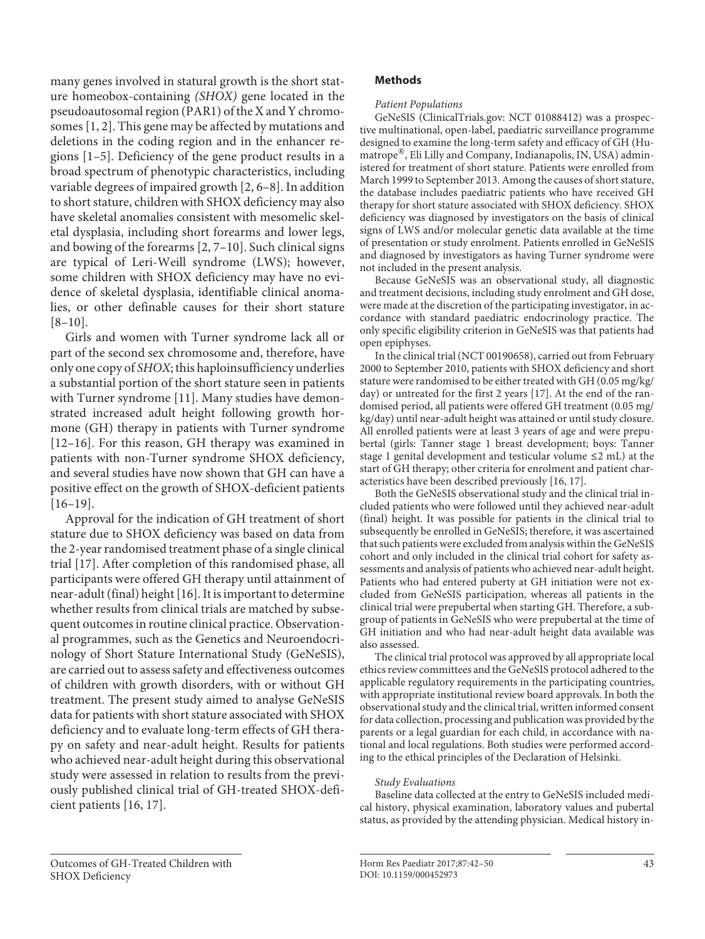many genes involved in statural growth is the short stature homeobox-containing *(SHOX)* gene located in the pseudoautosomal region (PAR1) of the X and Y chromosomes [1, 2]. This gene may be affected by mutations and deletions in the coding region and in the enhancer regions [1–5] . Deficiency of the gene product results in a broad spectrum of phenotypic characteristics, including variable degrees of impaired growth [2, 6–8]. In addition to short stature, children with SHOX deficiency may also have skeletal anomalies consistent with mesomelic skeletal dysplasia, including short forearms and lower legs, and bowing of the forearms  $[2, 7-10]$ . Such clinical signs are typical of Leri-Weill syndrome (LWS); however, some children with SHOX deficiency may have no evidence of skeletal dysplasia, identifiable clinical anomalies, or other definable causes for their short stature  $[8-10]$ .

 Girls and women with Turner syndrome lack all or part of the second sex chromosome and, therefore, have only one copy of *SHOX* ; this haploinsufficiency underlies a substantial portion of the short stature seen in patients with Turner syndrome [11]. Many studies have demonstrated increased adult height following growth hormone (GH) therapy in patients with Turner syndrome [12–16]. For this reason, GH therapy was examined in patients with non-Turner syndrome SHOX deficiency, and several studies have now shown that GH can have a positive effect on the growth of SHOX-deficient patients  $[16-19]$ .

 Approval for the indication of GH treatment of short stature due to SHOX deficiency was based on data from the 2-year randomised treatment phase of a single clinical trial [17] . After completion of this randomised phase, all participants were offered GH therapy until attainment of near-adult (final) height [16] . It is important to determine whether results from clinical trials are matched by subsequent outcomes in routine clinical practice. Observational programmes, such as the Genetics and Neuroendocrinology of Short Stature International Study (GeNeSIS), are carried out to assess safety and effectiveness outcomes of children with growth disorders, with or without GH treatment. The present study aimed to analyse GeNeSIS data for patients with short stature associated with SHOX deficiency and to evaluate long-term effects of GH therapy on safety and near-adult height. Results for patients who achieved near-adult height during this observational study were assessed in relation to results from the previously published clinical trial of GH-treated SHOX-deficient patients [16, 17].

## **Methods**

## *Patient Populations*

 GeNeSIS (ClinicalTrials.gov: NCT 01088412) was a prospective multinational, open-label, paediatric surveillance programme designed to examine the long-term safety and efficacy of GH (Humatrope®, Eli Lilly and Company, Indianapolis, IN, USA) administered for treatment of short stature. Patients were enrolled from March 1999 to September 2013. Among the causes of short stature, the database includes paediatric patients who have received GH therapy for short stature associated with SHOX deficiency. SHOX deficiency was diagnosed by investigators on the basis of clinical signs of LWS and/or molecular genetic data available at the time of presentation or study enrolment. Patients enrolled in GeNeSIS and diagnosed by investigators as having Turner syndrome were not included in the present analysis.

 Because GeNeSIS was an observational study, all diagnostic and treatment decisions, including study enrolment and GH dose, were made at the discretion of the participating investigator, in accordance with standard paediatric endocrinology practice. The only specific eligibility criterion in GeNeSIS was that patients had open epiphyses.

 In the clinical trial (NCT 00190658), carried out from February 2000 to September 2010, patients with SHOX deficiency and short stature were randomised to be either treated with GH (0.05 mg/kg/ day) or untreated for the first 2 years [17]. At the end of the randomised period, all patients were offered GH treatment (0.05 mg/ kg/day) until near-adult height was attained or until study closure. All enrolled patients were at least 3 years of age and were prepubertal (girls: Tanner stage 1 breast development; boys: Tanner stage 1 genital development and testicular volume  $\leq 2$  mL) at the start of GH therapy; other criteria for enrolment and patient characteristics have been described previously [16, 17] .

 Both the GeNeSIS observational study and the clinical trial included patients who were followed until they achieved near-adult (final) height. It was possible for patients in the clinical trial to subsequently be enrolled in GeNeSIS; therefore, it was ascertained that such patients were excluded from analysis within the GeNeSIS cohort and only included in the clinical trial cohort for safety assessments and analysis of patients who achieved near-adult height. Patients who had entered puberty at GH initiation were not excluded from GeNeSIS participation, whereas all patients in the clinical trial were prepubertal when starting GH. Therefore, a subgroup of patients in GeNeSIS who were prepubertal at the time of GH initiation and who had near-adult height data available was also assessed.

 The clinical trial protocol was approved by all appropriate local ethics review committees and the GeNeSIS protocol adhered to the applicable regulatory requirements in the participating countries, with appropriate institutional review board approvals. In both the observational study and the clinical trial, written informed consent for data collection, processing and publication was provided by the parents or a legal guardian for each child, in accordance with national and local regulations. Both studies were performed according to the ethical principles of the Declaration of Helsinki.

#### *Study Evaluations*

 Baseline data collected at the entry to GeNeSIS included medical history, physical examination, laboratory values and pubertal status, as provided by the attending physician. Medical history in-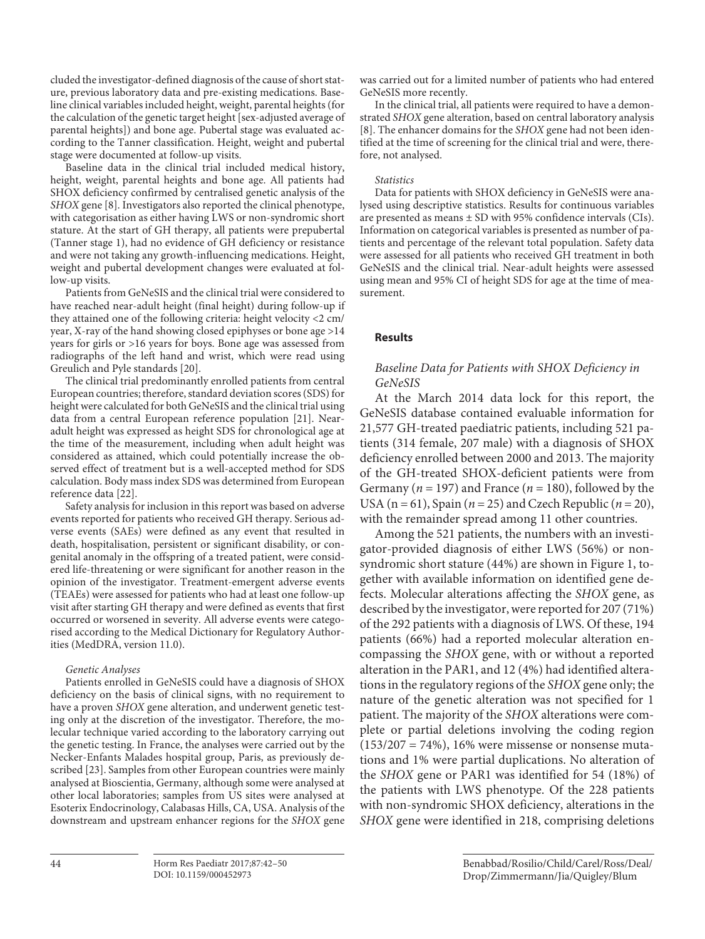cluded the investigator-defined diagnosis of the cause of short stature, previous laboratory data and pre-existing medications. Baseline clinical variables included height, weight, parental heights (for the calculation of the genetic target height [sex-adjusted average of parental heights]) and bone age. Pubertal stage was evaluated according to the Tanner classification. Height, weight and pubertal stage were documented at follow-up visits.

 Baseline data in the clinical trial included medical history, height, weight, parental heights and bone age. All patients had SHOX deficiency confirmed by centralised genetic analysis of the *SHOX* gene [8]. Investigators also reported the clinical phenotype, with categorisation as either having LWS or non-syndromic short stature. At the start of GH therapy, all patients were prepubertal (Tanner stage 1), had no evidence of GH deficiency or resistance and were not taking any growth-influencing medications. Height, weight and pubertal development changes were evaluated at follow-up visits.

 Patients from GeNeSIS and the clinical trial were considered to have reached near-adult height (final height) during follow-up if they attained one of the following criteria: height velocity <2 cm/ year, X-ray of the hand showing closed epiphyses or bone age >14 years for girls or >16 years for boys. Bone age was assessed from radiographs of the left hand and wrist, which were read using Greulich and Pyle standards [20] .

 The clinical trial predominantly enrolled patients from central European countries; therefore, standard deviation scores (SDS) for height were calculated for both GeNeSIS and the clinical trial using data from a central European reference population [21]. Nearadult height was expressed as height SDS for chronological age at the time of the measurement, including when adult height was considered as attained, which could potentially increase the observed effect of treatment but is a well-accepted method for SDS calculation. Body mass index SDS was determined from European reference data [22] .

 Safety analysis for inclusion in this report was based on adverse events reported for patients who received GH therapy. Serious adverse events (SAEs) were defined as any event that resulted in death, hospitalisation, persistent or significant disability, or congenital anomaly in the offspring of a treated patient, were considered life-threatening or were significant for another reason in the opinion of the investigator. Treatment-emergent adverse events (TEAEs) were assessed for patients who had at least one follow-up visit after starting GH therapy and were defined as events that first occurred or worsened in severity. All adverse events were categorised according to the Medical Dictionary for Regulatory Authorities (MedDRA, version 11.0).

#### *Genetic Analyses*

 Patients enrolled in GeNeSIS could have a diagnosis of SHOX deficiency on the basis of clinical signs, with no requirement to have a proven *SHOX* gene alteration, and underwent genetic testing only at the discretion of the investigator. Therefore, the molecular technique varied according to the laboratory carrying out the genetic testing. In France, the analyses were carried out by the Necker-Enfants Malades hospital group, Paris, as previously described [23]. Samples from other European countries were mainly analysed at Bioscientia, Germany, although some were analysed at other local laboratories; samples from US sites were analysed at Esoterix Endocrinology, Calabasas Hills, CA, USA. Analysis of the downstream and upstream enhancer regions for the *SHOX* gene

was carried out for a limited number of patients who had entered GeNeSIS more recently.

 In the clinical trial, all patients were required to have a demonstrated *SHOX* gene alteration, based on central laboratory analysis [8]. The enhancer domains for the *SHOX* gene had not been identified at the time of screening for the clinical trial and were, therefore, not analysed.

#### *Statistics*

 Data for patients with SHOX deficiency in GeNeSIS were analysed using descriptive statistics. Results for continuous variables are presented as means ± SD with 95% confidence intervals (CIs). Information on categorical variables is presented as number of patients and percentage of the relevant total population. Safety data were assessed for all patients who received GH treatment in both GeNeSIS and the clinical trial. Near-adult heights were assessed using mean and 95% CI of height SDS for age at the time of measurement.

## **Results**

## *Baseline Data for Patients with SHOX Deficiency in GeNeSIS*

 At the March 2014 data lock for this report, the GeNeSIS database contained evaluable information for 21,577 GH-treated paediatric patients, including 521 patients (314 female, 207 male) with a diagnosis of SHOX deficiency enrolled between 2000 and 2013. The majority of the GH-treated SHOX-deficient patients were from Germany ( $n = 197$ ) and France ( $n = 180$ ), followed by the USA ( $n = 61$ ), Spain ( $n = 25$ ) and Czech Republic ( $n = 20$ ), with the remainder spread among 11 other countries.

 Among the 521 patients, the numbers with an investigator-provided diagnosis of either LWS (56%) or nonsyndromic short stature (44%) are shown in Figure 1, together with available information on identified gene defects. Molecular alterations affecting the *SHOX* gene, as described by the investigator, were reported for 207 (71%) of the 292 patients with a diagnosis of LWS. Of these, 194 patients (66%) had a reported molecular alteration encompassing the *SHOX* gene, with or without a reported alteration in the PAR1, and 12 (4%) had identified alterations in the regulatory regions of the *SHOX* gene only; the nature of the genetic alteration was not specified for 1 patient. The majority of the *SHOX* alterations were complete or partial deletions involving the coding region  $(153/207 = 74\%)$ , 16% were missense or nonsense mutations and 1% were partial duplications. No alteration of the *SHOX* gene or PAR1 was identified for 54 (18%) of the patients with LWS phenotype. Of the 228 patients with non-syndromic SHOX deficiency, alterations in the *SHOX* gene were identified in 218, comprising deletions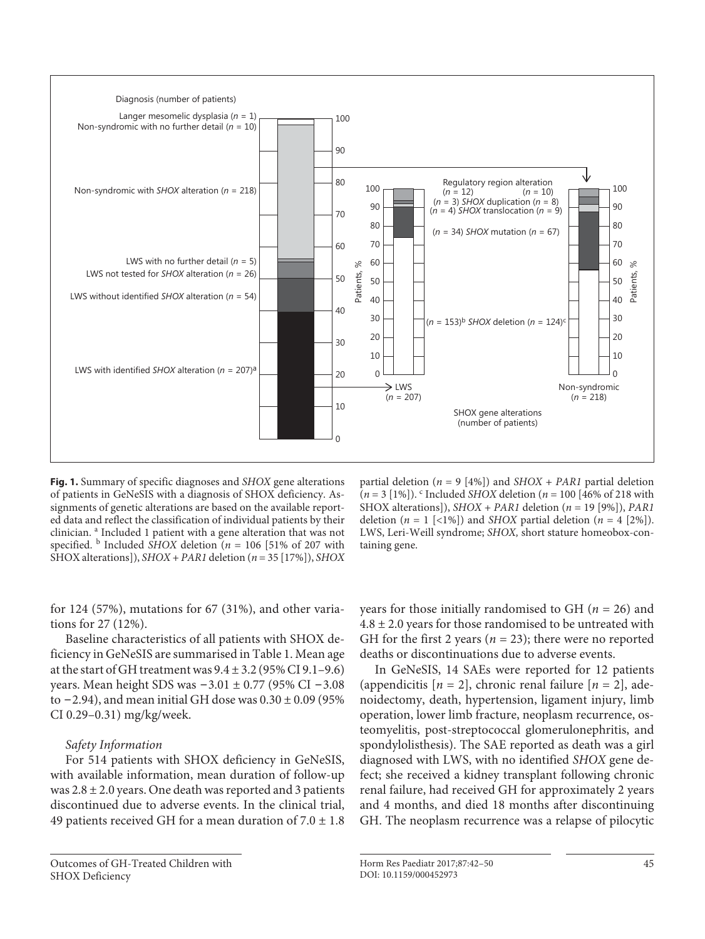

**Fig. 1.** Summary of specific diagnoses and *SHOX* gene alterations of patients in GeNeSIS with a diagnosis of SHOX deficiency. Assignments of genetic alterations are based on the available reported data and reflect the classification of individual patients by their clinician. <sup>a</sup> Included 1 patient with a gene alteration that was not specified.  $\frac{b}{c}$  Included *SHOX* deletion ( $n = 106$  [51% of 207 with SHOX alterations]), *SHOX* + *PAR1* deletion ( *n* = 35 [17%]), *SHOX*

partial deletion ( $n = 9$  [4%]) and *SHOX* + *PAR1* partial deletion  $(n = 3 [1\%])$ . <sup>c</sup> Included *SHOX* deletion ( $n = 100 [46\%$  of 218 with SHOX alterations]), *SHOX* + *PAR1* deletion ( *n* = 19 [9%]), *PAR1* deletion  $(n = 1 \leq 1\%)$  and *SHOX* partial deletion  $(n = 4 \leq 2\%)$ . LWS, Leri-Weill syndrome; *SHOX,* short stature homeobox-containing gene.

for 124 (57%), mutations for 67 (31%), and other variations for 27 (12%).

 Baseline characteristics of all patients with SHOX deficiency in GeNeSIS are summarised in Table 1. Mean age at the start of GH treatment was  $9.4 \pm 3.2$  (95% CI 9.1-9.6) years. Mean height SDS was − 3.01 ± 0.77 (95% CI − 3.08 to  $-2.94$ ), and mean initial GH dose was  $0.30 \pm 0.09$  (95% CI 0.29–0.31) mg/kg/week.

## *Safety Information*

 For 514 patients with SHOX deficiency in GeNeSIS, with available information, mean duration of follow-up was  $2.8 \pm 2.0$  years. One death was reported and 3 patients discontinued due to adverse events. In the clinical trial, 49 patients received GH for a mean duration of  $7.0 \pm 1.8$ 

 Outcomes of GH-Treated Children with SHOX Deficiency

years for those initially randomised to GH  $(n = 26)$  and  $4.8 \pm 2.0$  years for those randomised to be untreated with GH for the first 2 years ( $n = 23$ ); there were no reported deaths or discontinuations due to adverse events.

 In GeNeSIS, 14 SAEs were reported for 12 patients (appendicitis  $[n = 2]$ , chronic renal failure  $[n = 2]$ , adenoidectomy, death, hypertension, ligament injury, limb operation, lower limb fracture, neoplasm recurrence, osteomyelitis, post-streptococcal glomerulonephritis, and spondylolisthesis). The SAE reported as death was a girl diagnosed with LWS, with no identified *SHOX* gene defect; she received a kidney transplant following chronic renal failure, had received GH for approximately 2 years and 4 months, and died 18 months after discontinuing GH. The neoplasm recurrence was a relapse of pilocytic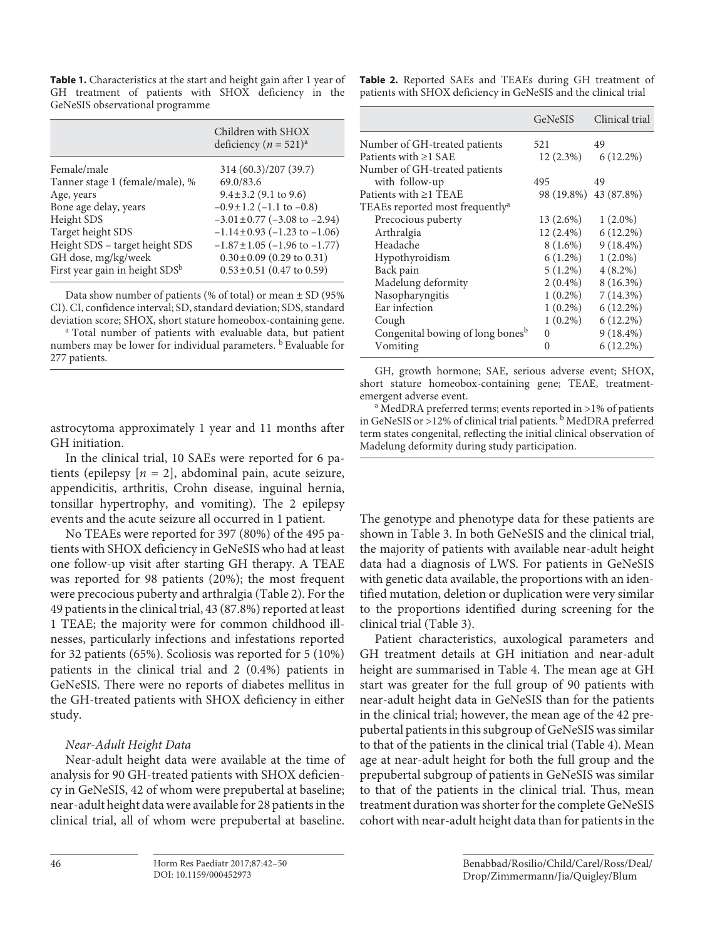**Table 1.** Characteristics at the start and height gain after 1 year of GH treatment of patients with SHOX deficiency in the GeNeSIS observational programme

|                                            | Children with SHOX<br>deficiency ( $n = 521$ ) <sup>a</sup> |
|--------------------------------------------|-------------------------------------------------------------|
| Female/male                                | 314 (60.3)/207 (39.7)                                       |
| Tanner stage 1 (female/male), %            | 69.0/83.6                                                   |
| Age, years                                 | $9.4 \pm 3.2$ (9.1 to 9.6)                                  |
| Bone age delay, years                      | $-0.9 \pm 1.2$ (-1.1 to $-0.8$ )                            |
| Height SDS                                 | $-3.01 \pm 0.77$ ( $-3.08$ to $-2.94$ )                     |
| Target height SDS                          | $-1.14 \pm 0.93$ ( $-1.23$ to $-1.06$ )                     |
| Height SDS - target height SDS             | $-1.87 \pm 1.05$ ( $-1.96$ to $-1.77$ )                     |
| GH dose, mg/kg/week                        | $0.30 \pm 0.09$ (0.29 to 0.31)                              |
| First year gain in height SDS <sup>b</sup> | $0.53 \pm 0.51$ (0.47 to 0.59)                              |

 Data show number of patients (% of total) or mean ± SD (95% CI). CI, confidence interval; SD, standard deviation; SDS, standard

<sup>a</sup> Total number of patients with evaluable data, but patient numbers may be lower for individual parameters. <sup>b</sup> Evaluable for 277 patients.

astrocytoma approximately 1 year and 11 months after GH initiation.

 In the clinical trial, 10 SAEs were reported for 6 patients (epilepsy  $[n = 2]$ , abdominal pain, acute seizure, appendicitis, arthritis, Crohn disease, inguinal hernia, tonsillar hypertrophy, and vomiting). The 2 epilepsy events and the acute seizure all occurred in 1 patient.

 No TEAEs were reported for 397 (80%) of the 495 patients with SHOX deficiency in GeNeSIS who had at least one follow-up visit after starting GH therapy. A TEAE was reported for 98 patients (20%); the most frequent were precocious puberty and arthralgia (Table 2). For the 49 patients in the clinical trial, 43 (87.8%) reported at least 1 TEAE; the majority were for common childhood illnesses, particularly infections and infestations reported for 32 patients (65%). Scoliosis was reported for 5 (10%) patients in the clinical trial and 2 (0.4%) patients in GeNeSIS. There were no reports of diabetes mellitus in the GH-treated patients with SHOX deficiency in either study.

## *Near-Adult Height Data*

 Near-adult height data were available at the time of analysis for 90 GH-treated patients with SHOX deficiency in GeNeSIS, 42 of whom were prepubertal at baseline; near-adult height data were available for 28 patients in the clinical trial, all of whom were prepubertal at baseline.

 **Table 2.** Reported SAEs and TEAEs during GH treatment of patients with SHOX deficiency in GeNeSIS and the clinical trial

|                                              | <b>GeNeSIS</b>        | Clinical trial        |
|----------------------------------------------|-----------------------|-----------------------|
| Number of GH-treated patients                | 521                   | 49                    |
| Patients with $\geq$ 1 SAE                   |                       | $12(2.3\%)$ 6 (12.2%) |
| Number of GH-treated patients                |                       |                       |
| with follow-up                               | 495                   | 49                    |
| Patients with $\geq 1$ TEAE                  | 98 (19.8%) 43 (87.8%) |                       |
| TEAEs reported most frequently <sup>a</sup>  |                       |                       |
| Precocious puberty                           | $13(2.6\%)$           | $1(2.0\%)$            |
| Arthralgia                                   | $12(2.4\%)$           | $6(12.2\%)$           |
| Headache                                     | 8 (1.6%)              | $9(18.4\%)$           |
| Hypothyroidism                               | $6(1.2\%)$            | $1(2.0\%)$            |
| Back pain                                    | $5(1.2\%)$            | $4(8.2\%)$            |
| Madelung deformity                           | $2(0.4\%)$            | $8(16.3\%)$           |
| Nasopharyngitis                              | $1(0.2\%)$            | 7(14.3%)              |
| Ear infection                                | $1(0.2\%)$            | $6(12.2\%)$           |
| Cough                                        | $1(0.2\%)$            | $6(12.2\%)$           |
| Congenital bowing of long bones <sup>b</sup> | $\Omega$              | $9(18.4\%)$           |
| Vomiting                                     | $\Omega$              | $6(12.2\%)$           |

GH, growth hormone; SAE, serious adverse event; SHOX, short stature homeobox-containing gene; TEAE, treatmentemergent adverse event.

<sup>a</sup> MedDRA preferred terms; events reported in >1% of patients in GeNeSIS or >12% of clinical trial patients. <sup>b</sup> MedDRA preferred term states congenital, reflecting the initial clinical observation of Madelung deformity during study participation.

The genotype and phenotype data for these patients are shown in Table 3. In both GeNeSIS and the clinical trial, the majority of patients with available near-adult height data had a diagnosis of LWS. For patients in GeNeSIS with genetic data available, the proportions with an identified mutation, deletion or duplication were very similar to the proportions identified during screening for the clinical trial (Table 3).

 Patient characteristics, auxological parameters and GH treatment details at GH initiation and near-adult height are summarised in Table 4. The mean age at GH start was greater for the full group of 90 patients with near-adult height data in GeNeSIS than for the patients in the clinical trial; however, the mean age of the 42 prepubertal patients in this subgroup of GeNeSIS was similar to that of the patients in the clinical trial (Table 4). Mean age at near-adult height for both the full group and the prepubertal subgroup of patients in GeNeSIS was similar to that of the patients in the clinical trial. Thus, mean treatment duration was shorter for the complete GeNeSIS cohort with near-adult height data than for patients in the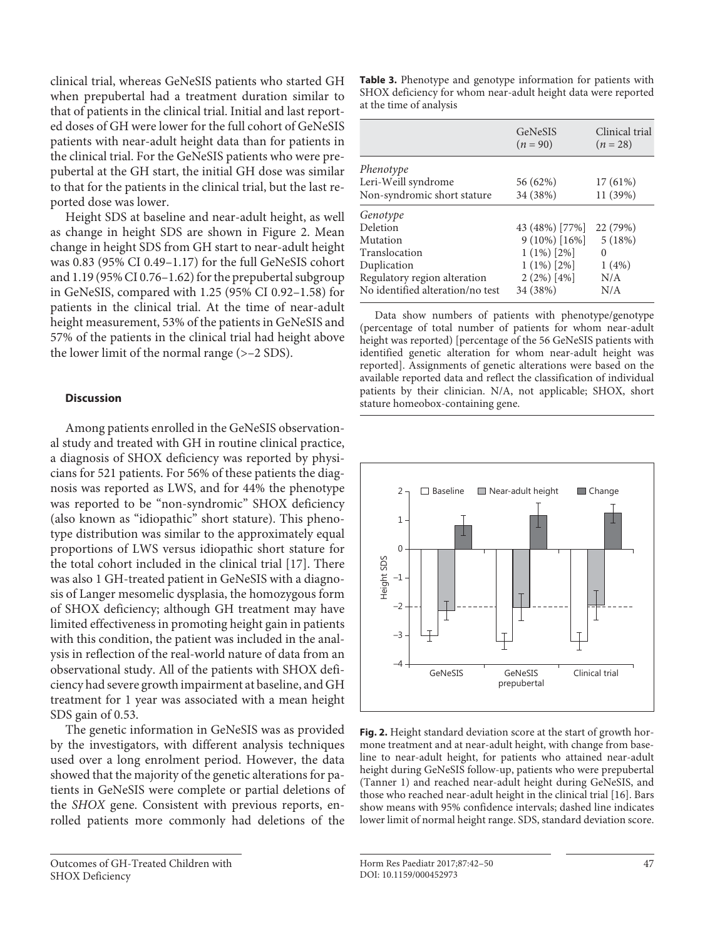clinical trial, whereas GeNeSIS patients who started GH when prepubertal had a treatment duration similar to that of patients in the clinical trial. Initial and last reported doses of GH were lower for the full cohort of GeNeSIS patients with near-adult height data than for patients in the clinical trial. For the GeNeSIS patients who were prepubertal at the GH start, the initial GH dose was similar to that for the patients in the clinical trial, but the last reported dose was lower.

 Height SDS at baseline and near-adult height, as well as change in height SDS are shown in Figure 2. Mean change in height SDS from GH start to near-adult height was 0.83 (95% CI 0.49–1.17) for the full GeNeSIS cohort and 1.19 (95% CI 0.76–1.62) for the prepubertal subgroup in GeNeSIS, compared with 1.25 (95% CI 0.92–1.58) for patients in the clinical trial. At the time of near-adult height measurement, 53% of the patients in GeNeSIS and 57% of the patients in the clinical trial had height above the lower limit of the normal range (>–2 SDS).

## **Discussion**

 Among patients enrolled in the GeNeSIS observational study and treated with GH in routine clinical practice, a diagnosis of SHOX deficiency was reported by physicians for 521 patients. For 56% of these patients the diagnosis was reported as LWS, and for 44% the phenotype was reported to be "non-syndromic" SHOX deficiency (also known as "idiopathic" short stature). This phenotype distribution was similar to the approximately equal proportions of LWS versus idiopathic short stature for the total cohort included in the clinical trial [17]. There was also 1 GH-treated patient in GeNeSIS with a diagnosis of Langer mesomelic dysplasia, the homozygous form of SHOX deficiency; although GH treatment may have limited effectiveness in promoting height gain in patients with this condition, the patient was included in the analysis in reflection of the real-world nature of data from an observational study. All of the patients with SHOX deficiency had severe growth impairment at baseline, and GH treatment for 1 year was associated with a mean height SDS gain of 0.53.

 The genetic information in GeNeSIS was as provided by the investigators, with different analysis techniques used over a long enrolment period. However, the data showed that the majority of the genetic alterations for patients in GeNeSIS were complete or partial deletions of the *SHOX* gene. Consistent with previous reports, enrolled patients more commonly had deletions of the

 Outcomes of GH-Treated Children with SHOX Deficiency

 **Table 3.** Phenotype and genotype information for patients with SHOX deficiency for whom near-adult height data were reported at the time of analysis

|                                  | <b>GeNeSIS</b><br>$(n = 90)$ | Clinical trial<br>$(n = 28)$ |
|----------------------------------|------------------------------|------------------------------|
| Phenotype                        |                              |                              |
| Leri-Weill syndrome              | 56 (62%)                     | 17 (61%)                     |
| Non-syndromic short stature      | 34 (38%)                     | 11 (39%)                     |
| Genotype                         |                              |                              |
| Deletion                         | 43 (48%) [77%]               | 22 (79%)                     |
| Mutation                         | $9(10\%)$ [16%]              | 5(18%)                       |
| Translocation                    | $1(1\%)$ [2%]                | $\Omega$                     |
| Duplication                      | $1(1\%)$ [2%]                | $1(4\%)$                     |
| Regulatory region alteration     | $2(2\%)$ [4%]                | N/A                          |
| No identified alteration/no test | 34 (38%)                     | N/A                          |

Data show numbers of patients with phenotype/genotype (percentage of total number of patients for whom near-adult height was reported) [percentage of the 56 GeNeSIS patients with identified genetic alteration for whom near-adult height was reported]. Assignments of genetic alterations were based on the available reported data and reflect the classification of individual patients by their clinician. N/A, not applicable; SHOX, short stature homeobox-containing gene.



**Fig. 2.** Height standard deviation score at the start of growth hormone treatment and at near-adult height, with change from baseline to near-adult height, for patients who attained near-adult height during GeNeSIS follow-up, patients who were prepubertal (Tanner 1) and reached near-adult height during GeNeSIS, and those who reached near-adult height in the clinical trial [16] . Bars show means with 95% confidence intervals; dashed line indicates lower limit of normal height range. SDS, standard deviation score.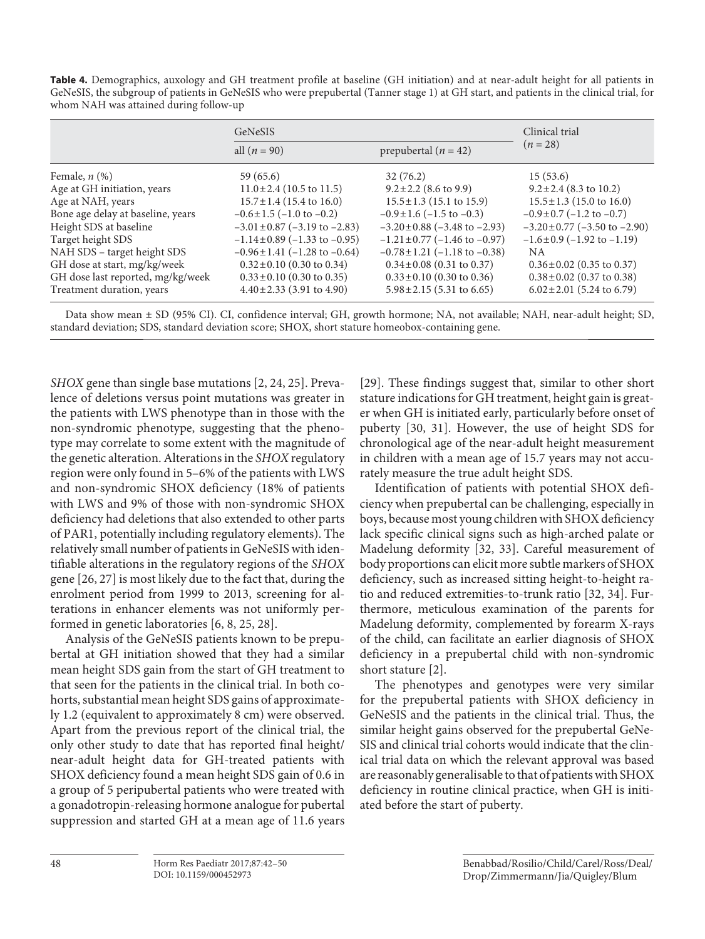**Table 4.** Demographics, auxology and GH treatment profile at baseline (GH initiation) and at near-adult height for all patients in GeNeSIS, the subgroup of patients in GeNeSIS who were prepubertal (Tanner stage 1) at GH start, and patients in the clinical trial, for whom NAH was attained during follow-up

|                                   | GeNeSIS                                 |                                         | Clinical trial                          |
|-----------------------------------|-----------------------------------------|-----------------------------------------|-----------------------------------------|
|                                   | all $(n = 90)$                          | prepubertal ( $n = 42$ )                | $(n = 28)$                              |
| Female, $n$ $(\%)$                | 59 (65.6)                               | 32(76.2)                                | 15(53.6)                                |
| Age at GH initiation, years       | $11.0 \pm 2.4$ (10.5 to 11.5)           | $9.2 \pm 2.2$ (8.6 to 9.9)              | $9.2 \pm 2.4$ (8.3 to 10.2)             |
| Age at NAH, years                 | $15.7 \pm 1.4$ (15.4 to 16.0)           | $15.5 \pm 1.3$ (15.1 to 15.9)           | $15.5 \pm 1.3$ (15.0 to 16.0)           |
| Bone age delay at baseline, years | $-0.6 \pm 1.5$ ( $-1.0$ to $-0.2$ )     | $-0.9 \pm 1.6$ (-1.5 to -0.3)           | $-0.9\pm0.7$ (-1.2 to -0.7)             |
| Height SDS at baseline            | $-3.01 \pm 0.87$ ( $-3.19$ to $-2.83$ ) | $-3.20 \pm 0.88$ ( $-3.48$ to $-2.93$ ) | $-3.20 \pm 0.77$ ( $-3.50$ to $-2.90$ ) |
| Target height SDS                 | $-1.14 \pm 0.89$ ( $-1.33$ to $-0.95$ ) | $-1.21 \pm 0.77$ ( $-1.46$ to $-0.97$ ) | $-1.6\pm0.9$ ( $-1.92$ to $-1.19$ )     |
| NAH SDS - target height SDS       | $-0.96 \pm 1.41$ (-1.28 to -0.64)       | $-0.78 \pm 1.21$ (-1.18 to $-0.38$ )    | NA.                                     |
| GH dose at start, mg/kg/week      | $0.32 \pm 0.10$ (0.30 to 0.34)          | $0.34 \pm 0.08$ (0.31 to 0.37)          | $0.36 \pm 0.02$ (0.35 to 0.37)          |
| GH dose last reported, mg/kg/week | $0.33 \pm 0.10$ (0.30 to 0.35)          | $0.33 \pm 0.10$ (0.30 to 0.36)          | $0.38 \pm 0.02$ (0.37 to 0.38)          |
| Treatment duration, years         | $4.40 \pm 2.33$ (3.91 to 4.90)          | $5.98 \pm 2.15$ (5.31 to 6.65)          | $6.02 \pm 2.01$ (5.24 to 6.79)          |

Data show mean ± SD (95% CI). CI, confidence interval; GH, growth hormone; NA, not available; NAH, near-adult height; SD, standard deviation; SDS, standard deviation score; SHOX, short stature homeobox-containing gene.

*SHOX* gene than single base mutations [2, 24, 25]. Prevalence of deletions versus point mutations was greater in the patients with LWS phenotype than in those with the non-syndromic phenotype, suggesting that the phenotype may correlate to some extent with the magnitude of the genetic alteration. Alterations in the *SHOX* regulatory region were only found in 5–6% of the patients with LWS and non-syndromic SHOX deficiency (18% of patients with LWS and 9% of those with non-syndromic SHOX deficiency had deletions that also extended to other parts of PAR1, potentially including regulatory elements). The relatively small number of patients in GeNeSIS with identifiable alterations in the regulatory regions of the *SHOX* gene [26, 27] is most likely due to the fact that, during the enrolment period from 1999 to 2013, screening for alterations in enhancer elements was not uniformly performed in genetic laboratories [6, 8, 25, 28] .

 Analysis of the GeNeSIS patients known to be prepubertal at GH initiation showed that they had a similar mean height SDS gain from the start of GH treatment to that seen for the patients in the clinical trial. In both cohorts, substantial mean height SDS gains of approximately 1.2 (equivalent to approximately 8 cm) were observed. Apart from the previous report of the clinical trial, the only other study to date that has reported final height/ near-adult height data for GH-treated patients with SHOX deficiency found a mean height SDS gain of 0.6 in a group of 5 peripubertal patients who were treated with a gonadotropin-releasing hormone analogue for pubertal suppression and started GH at a mean age of 11.6 years

[29]. These findings suggest that, similar to other short stature indications for GH treatment, height gain is greater when GH is initiated early, particularly before onset of puberty [30, 31]. However, the use of height SDS for chronological age of the near-adult height measurement in children with a mean age of 15.7 years may not accurately measure the true adult height SDS.

 Identification of patients with potential SHOX deficiency when prepubertal can be challenging, especially in boys, because most young children with SHOX deficiency lack specific clinical signs such as high-arched palate or Madelung deformity [32, 33]. Careful measurement of body proportions can elicit more subtle markers of SHOX deficiency, such as increased sitting height-to-height ratio and reduced extremities-to-trunk ratio [32, 34] . Furthermore, meticulous examination of the parents for Madelung deformity, complemented by forearm X-rays of the child, can facilitate an earlier diagnosis of SHOX deficiency in a prepubertal child with non-syndromic short stature [2].

 The phenotypes and genotypes were very similar for the prepubertal patients with SHOX deficiency in GeNeSIS and the patients in the clinical trial. Thus, the similar height gains observed for the prepubertal GeNe-SIS and clinical trial cohorts would indicate that the clinical trial data on which the relevant approval was based are reasonably generalisable to that of patients with SHOX deficiency in routine clinical practice, when GH is initiated before the start of puberty.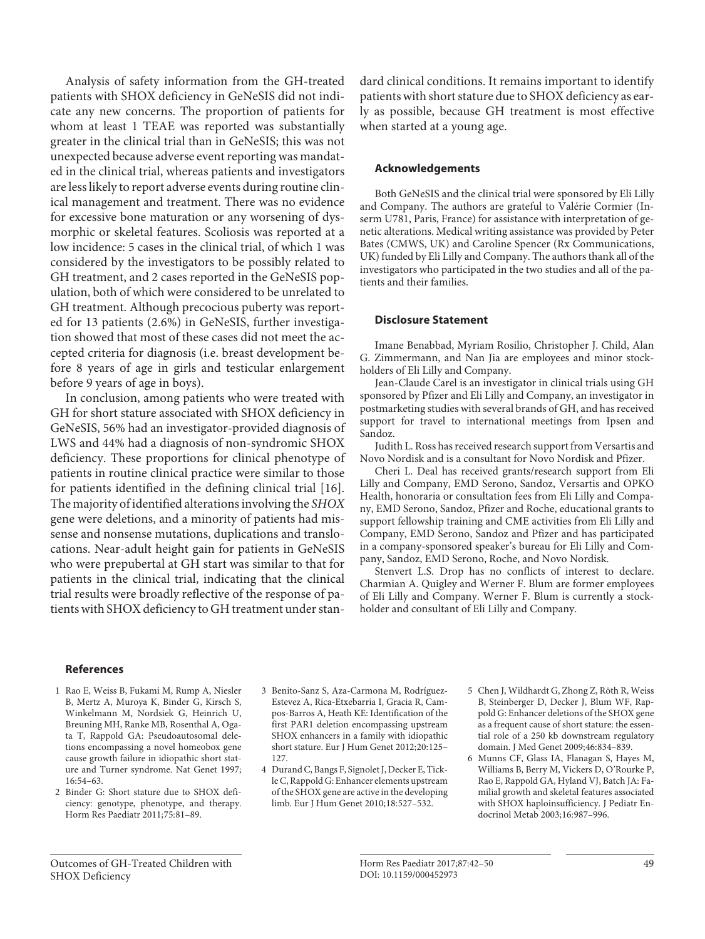Analysis of safety information from the GH-treated patients with SHOX deficiency in GeNeSIS did not indicate any new concerns. The proportion of patients for whom at least 1 TEAE was reported was substantially greater in the clinical trial than in GeNeSIS; this was not unexpected because adverse event reporting was mandated in the clinical trial, whereas patients and investigators are less likely to report adverse events during routine clinical management and treatment. There was no evidence for excessive bone maturation or any worsening of dysmorphic or skeletal features. Scoliosis was reported at a low incidence: 5 cases in the clinical trial, of which 1 was considered by the investigators to be possibly related to GH treatment, and 2 cases reported in the GeNeSIS population, both of which were considered to be unrelated to GH treatment. Although precocious puberty was reported for 13 patients (2.6%) in GeNeSIS, further investigation showed that most of these cases did not meet the accepted criteria for diagnosis (i.e. breast development before 8 years of age in girls and testicular enlargement before 9 years of age in boys).

 In conclusion, among patients who were treated with GH for short stature associated with SHOX deficiency in GeNeSIS, 56% had an investigator-provided diagnosis of LWS and 44% had a diagnosis of non-syndromic SHOX deficiency. These proportions for clinical phenotype of patients in routine clinical practice were similar to those for patients identified in the defining clinical trial [16] . The majority of identified alterations involving the *SHOX* gene were deletions, and a minority of patients had missense and nonsense mutations, duplications and translocations. Near-adult height gain for patients in GeNeSIS who were prepubertal at GH start was similar to that for patients in the clinical trial, indicating that the clinical trial results were broadly reflective of the response of patients with SHOX deficiency to GH treatment under standard clinical conditions. It remains important to identify patients with short stature due to SHOX deficiency as early as possible, because GH treatment is most effective when started at a young age.

#### **Acknowledgements**

 Both GeNeSIS and the clinical trial were sponsored by Eli Lilly and Company. The authors are grateful to Valérie Cormier (Inserm U781, Paris, France) for assistance with interpretation of genetic alterations. Medical writing assistance was provided by Peter Bates (CMWS, UK) and Caroline Spencer (Rx Communications, UK) funded by Eli Lilly and Company. The authors thank all of the investigators who participated in the two studies and all of the patients and their families.

#### **Disclosure Statement**

 Imane Benabbad, Myriam Rosilio, Christopher J. Child, Alan G. Zimmermann, and Nan Jia are employees and minor stockholders of Eli Lilly and Company.

 Jean-Claude Carel is an investigator in clinical trials using GH sponsored by Pfizer and Eli Lilly and Company, an investigator in postmarketing studies with several brands of GH, and has received support for travel to international meetings from Ipsen and Sandoz.

 Judith L. Ross has received research support from Versartis and Novo Nordisk and is a consultant for Novo Nordisk and Pfizer.

 Cheri L. Deal has received grants/research support from Eli Lilly and Company, EMD Serono, Sandoz, Versartis and OPKO Health, honoraria or consultation fees from Eli Lilly and Company, EMD Serono, Sandoz, Pfizer and Roche, educational grants to support fellowship training and CME activities from Eli Lilly and Company, EMD Serono, Sandoz and Pfizer and has participated in a company-sponsored speaker's bureau for Eli Lilly and Company, Sandoz, EMD Serono, Roche, and Novo Nordisk.

 Stenvert L.S. Drop has no conflicts of interest to declare. Charmian A. Quigley and Werner F. Blum are former employees of Eli Lilly and Company. Werner F. Blum is currently a stockholder and consultant of Eli Lilly and Company.

#### **References**

- 1 Rao E, Weiss B, Fukami M, Rump A, Niesler B, Mertz A, Muroya K, Binder G, Kirsch S, Winkelmann M, Nordsiek G, Heinrich U, Breuning MH, Ranke MB, Rosenthal A, Ogata T, Rappold GA: Pseudoautosomal deletions encompassing a novel homeobox gene cause growth failure in idiopathic short stature and Turner syndrome. Nat Genet 1997; 16:54–63.
- 2 Binder G: Short stature due to SHOX deficiency: genotype, phenotype, and therapy. Horm Res Paediatr 2011;75:81–89.
- 3 Benito-Sanz S, Aza-Carmona M, Rodríguez-Estevez A, Rica-Etxebarria I, Gracia R, Campos-Barros A, Heath KE: Identification of the first PAR1 deletion encompassing upstream SHOX enhancers in a family with idiopathic short stature. Eur J Hum Genet 2012;20:125– 127.
- 4 Durand C, Bangs F, Signolet J, Decker E, Tickle C, Rappold G: Enhancer elements upstream of the SHOX gene are active in the developing limb. Eur J Hum Genet 2010;18:527–532.
- 5 Chen J, Wildhardt G, Zhong Z, Röth R, Weiss B, Steinberger D, Decker J, Blum WF, Rappold G: Enhancer deletions of the SHOX gene as a frequent cause of short stature: the essential role of a 250 kb downstream regulatory domain. J Med Genet 2009;46:834–839.
- 6 Munns CF, Glass IA, Flanagan S, Hayes M, Williams B, Berry M, Vickers D, O'Rourke P, Rao E, Rappold GA, Hyland VJ, Batch JA: Familial growth and skeletal features associated with SHOX haploinsufficiency. J Pediatr Endocrinol Metab 2003;16:987–996.